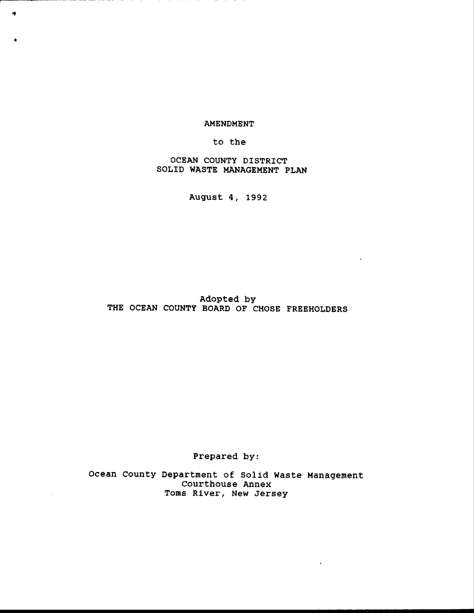#### AMENDMENT

٠

#### to the

OCEAN COUNTY DISTRICT SOLID WASTE MANAGEMENT PLAN

August 4, 1992

#### Adopted by THE OCEAN COUNTY BOARD OF CHOSE FREEHOLDERS

Prepared by:

Ocean County Department of Solid Waste Management<br>Courthouse Annex Toms River, New Jersey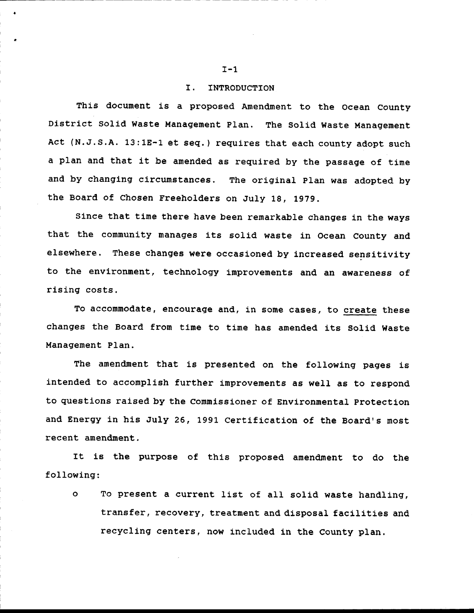#### I. INTRODUCTION

This document is a proposed Amendment to the Ocean County District Solid Waste Management Plan. The Solid Waste Management Act (N.J.S.A. 13:1E-1 et seq.) requires that each county adopt such a plan and that it be amended as required by the passage of time and by changing circumstances. The original Plan was adopted by the Board of Chosen Freeholders on July 18, 1979.

Since that time there have been remarkable changes in the ways that the community manages its solid waste in Ocean County and elsewhere. These changes were occasioned by increased sensitivity to the environment, technology improvements and an awareness of rising costs.

To accommodate, encourage and, in some cases, to **create** these changes the Board from time to time has amended its Solid Waste Management Plan.

The amendment that is presented on the following pages is intended to accomplish further improvements as well as to respond to questions raised by the Commissioner of Environmental Protection and Energy in his July 26, 1991 Certification of the Board's most recent amendment,

It is the purpose of this proposed amendment to do the following:

o To present a current list of all solid waste handling, transfer, recovery, treatnent and disposal facilities and recycling centers, now included in the County plan.

 $I-1$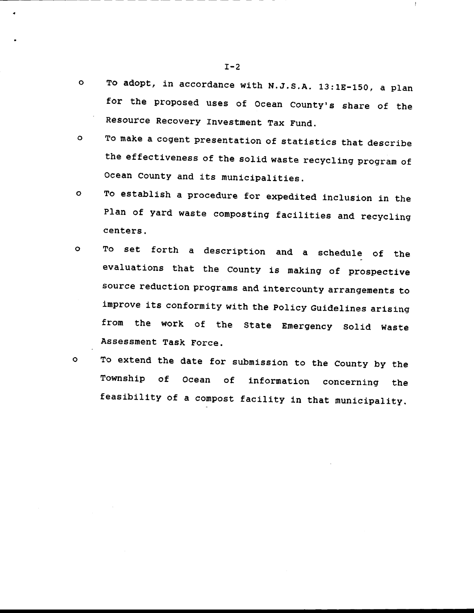- To adopt, in accordance wlth N.J.s,A. 13:18-150, a plan  $\circ$ for the proposed uses of Ocean County's share of the Resource Recovery Investment Tax Fund.
- To make a cogent presentatlon of statistics that describe  $\circ$ the effectiveness of the solid waste recycling program of Ocean County and its municipalities.
- To establish a procedure for expedited inclusion in the  $\mathbf{o}$ Plan of yard waste composting facilities and recycling centers.
- o To set forth a description and a schedule of the evaluations that the County is making of prospective source reduction programs and intercounty arrangements to improve its conformity with the Policy Guidelines arising from the work of the State Emergency Solid Waste Assessment Task Force.
- To extend the date for submission to the County by the Township of Ocean of information concerning the feasibility of a compost facility in that municipality. o

 $I-2$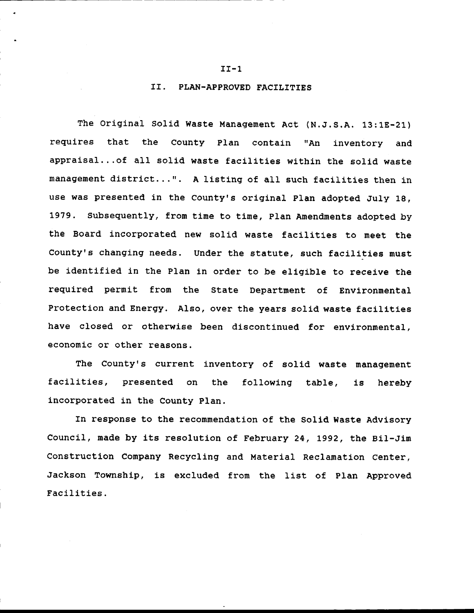#### II. PLAN-APPROVED FACILITIES

The Original Solid Waste Management Act (N.J.S.A. 13:1E-21) requires that the County Plan contain "An inventory and appraisal...of all solid waste facilities within the solid waste management district...". A listing of all such facilities then in use was presented in the county's original plan adopted July 1g, 1979. Subsequently, from time to time, Plan Amendments adopted by the Board incorporated new solid waste facilities to meet the County's changing needs. Under the statute, such facilities must be identified in the Plan in order to be eligible to receive the requlred pernit from the State Department of Envlronnental Protection and Energy. Also, over the years solid waste facilities have closed or otherwise been discontinued for environmental, economic or other reasons.

The County's current inventory of solid waste management facilities, presented on the following table, is hereby incorporated in the County plan.

In response to the recommendation of the Solid Waste Advisory Council, made by its resolution of February 24, 1992, the Bil-Jim Construction Company Recycling and Material Reclamation Center, Jackson Townshlp, ls excluded from the list of plan Approved Facilltles.

#### $II-1$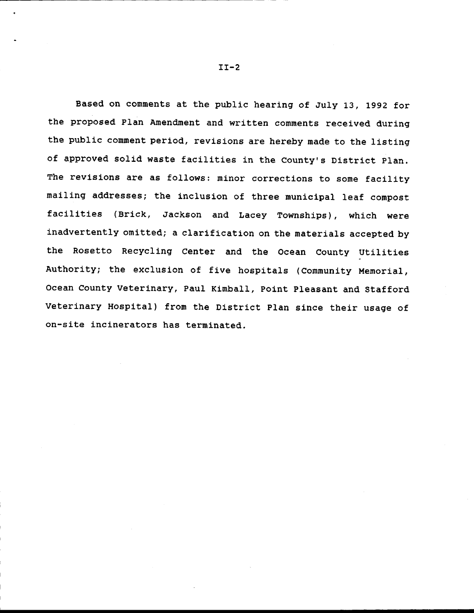Based on comments at the public hearing of July 13, 1992 for the proposed Plan Amendment and written comments received during the public comment period, revisions are hereby made to the listing of approved solid waste facilities in the County's District Plan. The revisions are as follows: minor corrections to some facility mailing addresses; the inclusion of three municipal leaf compost facilities (Brick, Jackson and Lacey Townships), which were inadvertently omitted; a clarification on the materials accepted by the Rosetto Recycling Center and the Ocean County Utilities Authority; the exclusion of five hospitals (Community Memorial, Ocean County Veterinary, Paul Kimball, Point Pleasant and Stafford Veterinary Hospital) from the District Plan since their usage of on-site incinerators has terminated.

II-2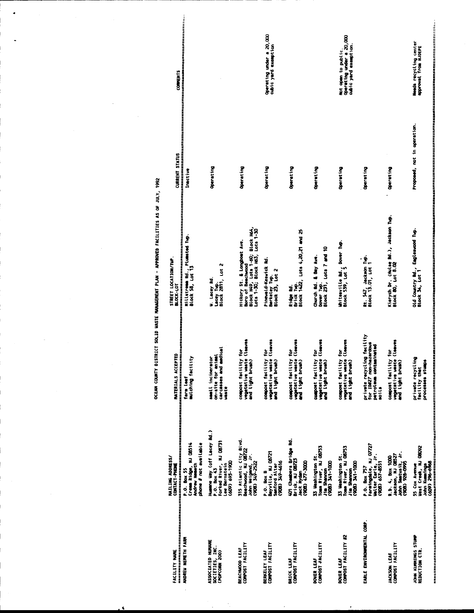|                                                       |                                                                                                        |                                                                                       | <b>OCEAN COUNTY DISTRICT SOLID WASTE MANAGEMENT PLAN - APPROVED FACILITIES AS OF JULY, 1992</b>                              |                             |                                                                         |
|-------------------------------------------------------|--------------------------------------------------------------------------------------------------------|---------------------------------------------------------------------------------------|------------------------------------------------------------------------------------------------------------------------------|-----------------------------|-------------------------------------------------------------------------|
| FACILITY NAME                                         | MAILING ADDRESS/<br>CONTACT-PHONE                                                                      | MATERIALS ACCEPTED                                                                    | STREET LOCATION/TWP.<br>BLOCK-LOT                                                                                            | <b>CURRENT STATUS</b>       | <b>COMMENTS</b>                                                         |
| ANDREW NEMETH FARM                                    | Cream Ridge, NJ 08514<br>Andrew Nometh<br>phone # not available<br>P.O. BOX 55                         | mulching facility<br>farm leaf                                                        | [그리아유유장으를 한편 모유유전문화구조 프라일스 프라우드 프라오스 프라오스 프라오스 프라오스 프라오스 프로그램 프라오스 프로그램<br>Millatremm Rd., Plumated Tup.<br>Block 58, Lot 13 | Inactive                    |                                                                         |
| ASSOCIATED HUMANE<br>SOCIETIES, INC.<br>(POPCORN ZOO) | Humane Way (off Lacey Rd.)<br>Forked River, NJ 08731<br>(609) 693-1900<br>Lee Bernstein<br>P.O. Box 43 | medical<br>on-site for animal<br>small incinerator<br>carcasses and<br><b>Maste</b>   | Lacey Twp.<br>Block 2811, Lot 2<br><b>U.</b> Lacey Rd.                                                                       | Operating                   |                                                                         |
| COMPOST FACILITY<br>BEACHHOOD LEAF                    | 315 Atlantic City Blvd.<br>Beachwood, NJ 08722<br>John Weigand, Jr.<br>(908) 349-2522                  | compost facility for<br>vegetative waste (leaves<br>and light brush)                  | Block H49, Lots 1-60; Block H64,<br>Lots 1-30; Block H63, Lots 1-30<br>Hickory St. & Longboat Ave.<br>Boro of Beachwood      | Operating                   |                                                                         |
| COMPOST FACILITY<br>BERKELEY LEAF                     | Bayville, NJ 08721<br>9199-695 (806)<br>Sanford Alter<br>P.O. Box B                                    | compost facility for<br>vegetative waste (leaves<br>and light brush)                  | Pinewald-Kesuick Rd.<br>Berkeley Twp.<br>Block 25, Lot 2                                                                     | Operating                   | Operating under a 20,000<br>cubic yard exemption                        |
| COMPOST FACILITY<br><b>BRICK LEAF</b>                 | 401 Chambers Bridge Rd.<br>Brick, NJ 08723<br>(908-17+ (900)<br>Jack Nyden                             | compost facility for<br>vegetative waste (leaves<br>and light brush)                  | Ridge Rd.<br>Brick Twp.<br>Block 1422, Lots 4,20,21 and 25                                                                   | Operating                   |                                                                         |
| COMPOST FACILITY<br>DOVER LEAF                        | Toms River, NJ 08753<br>33 Heshington St.<br>(908)-114 (809)<br>Jie Shannon                            | compost facility for<br>Vegetative waste (leaves<br>and light brush)                  | Dover Tipp.<br>Block 231, Lots 7 and 10<br>Church Rd. & Bay Ave.                                                             | Operating                   |                                                                         |
| COMPOST FACILITY #2<br>DOVER LEAF                     | Toms River, NJ 08753<br>33 Washington St.<br>(908) 341-1000<br>Jie Stario                              | compost facility for<br>vegetative waste (leaves<br>and light brush)                  | Unitesville Rd., Dover Tup.<br>Block 559, Lot 5                                                                              | Operating                   | Operating under a 20,000<br>cubic yard exemption.<br>Not open to public |
| EARLE ENVIRONMENTAL CORP.                             | Farmingdale, NJ 07727<br>Walter Earle, Jr.<br>(908) 657-8551<br>P.O. Box 757                           | private recycling facility<br>for IDN27 non-hazardous<br>petroleum contaminated<br>ii | Rt. 547, Jackson Tup.<br>Block 13.01, Lot 1                                                                                  | Operating                   |                                                                         |
| COMPOST FACILITY<br>JACKSON LEAF                      | Jackson, NJ 08527<br>John Smatusik, Jr.<br>(908) 928–0995<br>R.D. 4, BOX 1000                          | compost facility for<br>vegetative waste (leaves<br>and light brush)                  | Kierych Dr. (Hulse Rd.), Jackson Tup.<br>Block 80, Lot 8.02                                                                  | Operating                   |                                                                         |
| JOHN KUMMINGS STUMP<br>REDUCTION CTR.                 | West Creek, NJ 08092<br>John Kummings<br>(609-395 (906)<br>55 Cox Avenue                               | private recycling<br>processes stumps<br>facility that                                | old Country Rd., Engleswood Tup.<br>Block 34, Lot 1                                                                          | Proposed, not in operation. | Meeds recycling center<br>approval from NJDEPE                          |

 $\bullet$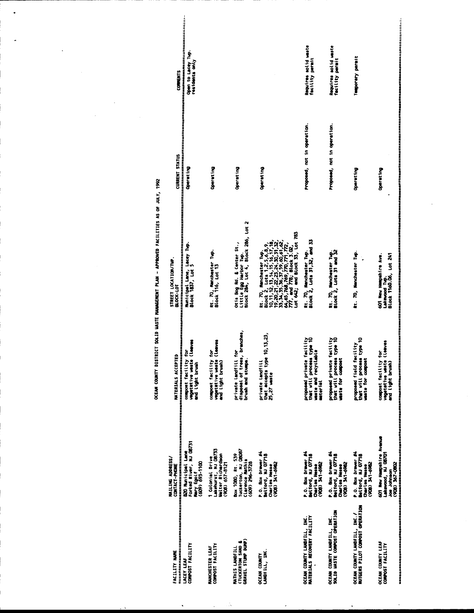OCEAN COUNTY DISTRICT SOLID MASTE MANAGEMENT PLAN - APPROVED FACILITIES AS OF JULY, 1992

 $\ddot{\phantom{0}}$ 

| 부분들 그들으로 고도를 보내고 있다.<br>FACILITY NAME                           | ●<br>1999年1月11日には、1999年1月1日には、1999年1月1日には、1999年1月1日には、1999年1月1日には、1999年1月1日には、1999年1月1日には、1999年1月1日には、1999年1月1日には、1<br>MAILING ADDRESS/<br>CONTACT-PHONE | MATERIALS ACCEPTED                                                                        | STREET LOCATION/TUP.<br>BLOCK-LOT                                                                                                                                                   | <b>CURRENT STATUS</b>                                                                    | <b>COMMENTS</b>                         |
|-----------------------------------------------------------------|----------------------------------------------------------------------------------------------------------------------------------------------------------|-------------------------------------------------------------------------------------------|-------------------------------------------------------------------------------------------------------------------------------------------------------------------------------------|------------------------------------------------------------------------------------------|-----------------------------------------|
| COMPOST FACILITY<br>LACEY LEAF                                  | Forked River, NJ 08731<br>B20 Municipal Lane<br>Nary Egolf<br>(609) 693-1100                                                                             | for<br>$\frac{1}{2}$<br>compost facility<br>vegetative waste<br>and light brush           | 有机网络制造材料制料材料的材料材料材料材料材料材料材料材料材料<br>Municipal Lane, Lacey Tup.<br>Block 1837, Lot 5                                                                                                  | 2020年12月11日,1月11日,1月11日,1月11日,1月11日,1月11日,1月11日,1月11日,1月11日,1月11日,1月11日,1月1<br>Operating | Open to Lacey Tup.<br>residents only    |
| COMPOST FACILITY<br>MANCHESTER LEAF                             | Lakehurst, NJ 08733<br>Helter Richardson<br>Colonial Drive<br>$(908)$ $657 - 8121$                                                                       | (leaves<br>ś<br>compost facility<br>vegetative unste<br>and Light brush)                  | Rt. 70, Manchester Twp.<br>Block 116, Lot 13                                                                                                                                        | Operating                                                                                |                                         |
| GRAVEL STUMP DUMP)<br>(TUCKERTON SAND &<br>MATHIS LANDFILL      | Tuckerton, NJ 08087<br>Box 1080, Rt. 539<br>Clarence Mathis<br>(609) 296-3728                                                                            | disposal of trees, branches,<br>private landfill for<br>brush and stumps.                 | Little Egg Harbor Twp.<br>Block 284, Lot 4, Block 286, Lot 2<br>Otis Bog Rd. & Center St.,                                                                                          | Operating                                                                                |                                         |
| LANDFILL, INC.<br>OCEAN COUNTY                                  | P.O. Box Drawer #4<br>Belford, NJ 07718<br>(908) 341-6982<br>Charles Hesse                                                                               | that accepts type 10, 13, 23,<br>private Landfill<br>25,27 waste                          |                                                                                                                                                                                     | Operating                                                                                |                                         |
| MATERIALS RECOVERY FACILITY<br>OCEAN COUNTY LANDFILL, INC.      | P.O. Box Drawer #4<br>Belford, NJ 07718<br>3069-175 (906)<br>Charles Hesse                                                                               | proposed private facility<br>that will process type 10<br>waste and recyclable<br>mterial | Rt. 70, Manchester Twp.<br>Block 2, Lots 31,32, and 33                                                                                                                              | Proposed, not in operation.                                                              | Requires solid waste<br>facility permit |
| SOLID MASTE COMPOST OPERATION<br>OCEAN COUNTY LANDFILL, INC.    | P.O. Box Drawer #4<br>Beltord, NJ 07718<br>(908) 341-6982<br>Charles Hesse                                                                               | proposed private facility<br>that will process type 10<br>unste for compost               | Rt. 70, Manchester Tup.<br>Block 2, Lots 31 and 32                                                                                                                                  | Proposed, not in operation.                                                              | Requires solid waste<br>facility permit |
| OCEAN COUNTY LANDFILL, INC./<br>RUTGERS PILOT COMPOST OPERATION | P.O. Box Drawer #4<br>Belford, NJ 07718<br>(908) 341-6982<br>Charles Hesse                                                                               | that will process type 10<br>proposed field facility<br>waste for compost                 | Rt. 70, Nanchester Tup.                                                                                                                                                             | Operating                                                                                | Temporary permit                        |
| OCEAN COUNTY LEAF<br>COMPOST FACILITY                           | 601 New Hampshire Avenue<br>Lakewood, NJ 08701<br>(908) 367-0802<br>hoening solu                                                                         | (leaves<br>ě<br>compost facility<br>vegetative usste<br>and Light brush)                  | talla han han ang manggalang manggalang manggalang manggalang manggalang manggalang manggalang manggalang mang<br>601 New Humpshire Ave.<br>Block 1160.06, Lot 241<br>Lakewood Tup. | Operating                                                                                |                                         |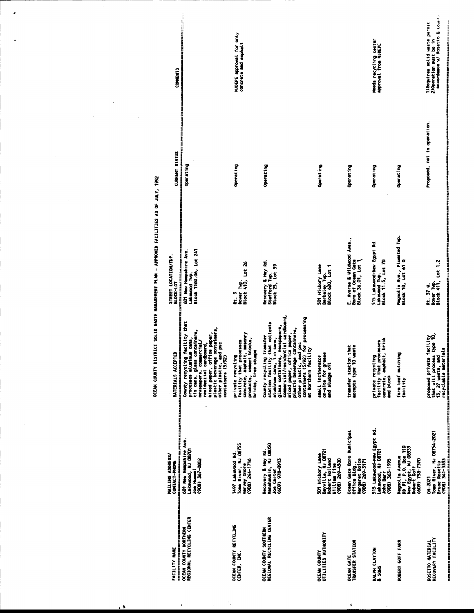| 20世纪日本国家的第三人称单数<br>FACILITY NAME                   | MAILING ADDRESS/<br>CONTACT-PHONE<br>(本来書本書本學学生書本書                                                                                                                                                                       | MATERIALS ACCEPTED                                                                                                                                                                                                                                                                                                             | STREET LOCATION/TWP.<br><b>BLOCK-LOT</b>                                                       | <b>CURRENT STATUS</b>                           | <b>COMMENTS</b>                                                                            |
|----------------------------------------------------|--------------------------------------------------------------------------------------------------------------------------------------------------------------------------------------------------------------------------|--------------------------------------------------------------------------------------------------------------------------------------------------------------------------------------------------------------------------------------------------------------------------------------------------------------------------------|------------------------------------------------------------------------------------------------|-------------------------------------------------|--------------------------------------------------------------------------------------------|
| REGIONAL RECYCLING CENTER<br>OCEAN COUNTY NORTHERN | 601 New Hampshire Ave.<br>Lakewood, NJ 08701<br>(908) 367-0802<br><b>Joe Humel</b>                                                                                                                                       | County recycling facility that<br>医皮肤发生发生性皮肤发生<br>mixed paper, office paper,<br>plastic beverage containers,<br>other plastic, and pvc<br>containers (5/92)<br>tin cans, glass containers,<br>processes aluminum cans,<br>neuspapers, commercial/<br>residential cardboard,<br>1000年1000年度1000年度                               | Block 1160.06, Lot 241<br>2012年12月12日 12月12日 12月12日<br>601 New Hampshire Ave.<br>Lakewood Tup. | Operating                                       |                                                                                            |
| OCEAN COUNTY RECYCLING<br>CENTER, INC.             | Toms River, NJ 08755<br>1497 Lakewood Rd<br>Harvey Onore<br>(908) 244-1716                                                                                                                                               | facility that processes<br>concrete, asphalt, masonry<br>products, cement blocks,<br>bricks, tree stumps<br>private recycling                                                                                                                                                                                                  | bover Tup.<br>Block 410, Lot 26<br>a<br>E                                                      | Operating                                       | NJDEPE approval for only<br>concrete and asphalt                                           |
| REGIONAL RECYCLING CENTER<br>OCEAN COUNTY SOUTHERN | Recovery & Hay Rd.<br>Manahawkin, NJ 08050<br>(609) 978-0913<br>Joe Carter                                                                                                                                               | commercial/residential cardboard,<br>other plastic, and pvc<br>containers (5/92) for processing<br>that collects<br>, neuspapers,<br>mixed paper, office paper,<br>plastic beverage containers,<br>transfer<br>tin cans,<br>at Northern facility<br>County recycling<br>station facility<br>glass containers<br>atuainua cans, | Recovery & Hay Rd.<br>Block 25, Lot 59<br>Stafford Tup.                                        | Operating                                       |                                                                                            |
| UTILITIES AUTHORITY<br><b>OCEAN COUNTY</b>         | 501 Hickory Lane<br>Bayville, NJ 08721<br>Robert Holland<br>0057-692 (906)<br><b>William Fine</b>                                                                                                                        | on-site for grease<br>and sludge oil<br>suall incinerator                                                                                                                                                                                                                                                                      | 501 Hickory Lane<br>Berkeley Tup.<br>Block 620, Lot 1                                          | Operating                                       |                                                                                            |
| OCEAN GATE<br>TRANSFER STATION                     | Ocean Gate Boro Municipal<br>Office Bldg.,<br>Nargaret Boice<br>(908) 269-3171                                                                                                                                           | that<br>š<br>transfer station<br>accepts type 10                                                                                                                                                                                                                                                                               | E. Averne & Utildwood Aves.,<br>Boro of Ocean Gate<br>Block 36.01, Lot 1                       | Operating                                       |                                                                                            |
| <b>RALPH CLAYTON</b><br>& SONS                     | 515 Lakewood-New Egypt Rd.<br>Lakewood, NJ 08701<br>John Barr<br>(908) 363-1995                                                                                                                                          | facility that processes<br>concrete, asphalt, brick<br>and block<br>private recycling                                                                                                                                                                                                                                          | 515 Lakewood-New Egypt Rd.<br>Lakewood Twp.<br>Block 11.5, Lot 70                              | Operating                                       | Needs recycling center<br><b>Aproval from NJDEPE</b>                                       |
| ROBERT GOFF FARM                                   | Magnolia Avenue<br>RD #1, P.O. Box 110<br>New Egypt, NJ 08533<br>Robert Goff<br>(dO9) 758-7370                                                                                                                           | farm Leaf mulching<br>facility                                                                                                                                                                                                                                                                                                 | Magnolia Ave., Plumated Tup.<br>Block 10, Lot 61 Q                                             | Operating                                       |                                                                                            |
| <b>ROSETTO MATERIAL</b><br>RECOVERY FACILITY       | <sup>,</sup><br>그는 그는 그만 그만 그만 있는 것은 그만 있는 것은 그만 있는 것은 그만 있는 것은 그만 있는 것은 그만 있는 것은 그만 있다. 그만 있는 것은 그만 같이 있는 것은 그만 있는 것은 그만 있는 것은 그만 있다.<br>Toms River, NJ 08754-2021<br>Bruce Rosetto<br>(908) 341-3333<br><b>CN-2021</b> | that will process type 10,<br>13, 27 waste, and<br>facility<br>recyclable materials<br>proposed private                                                                                                                                                                                                                        | Dover Typ.<br>Block 411, Lot 1.2<br>Rt. 37 W.                                                  | 医美国生物学学家学习学习学习学习<br>Proposed, not in operation. | accordance w/ Rosetto & Count<br>1) Requires solid waste permit<br>2) Operation must be in |

 $\mathcal{L}^{\text{max}}_{\text{max}}$ 

 $\label{eq:2.1} \frac{1}{\sqrt{2}}\int_{\mathbb{R}^3} \frac{1}{\sqrt{2}}\left(\frac{1}{\sqrt{2}}\right)^2\left(\frac{1}{\sqrt{2}}\right)^2\left(\frac{1}{\sqrt{2}}\right)^2\left(\frac{1}{\sqrt{2}}\right)^2\left(\frac{1}{\sqrt{2}}\right)^2.$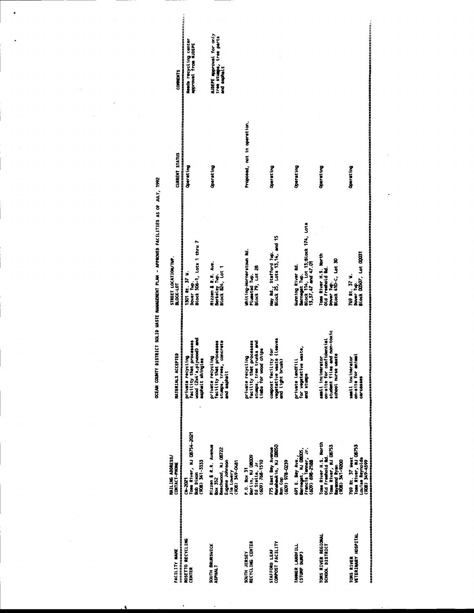**HJDEPE Approval for only**<br>tree stumps, tree parts<br>and asphalt **COMMENTS** Proposed, not in operation. **CURRENT STATUS** Operating Operating Operating Operating Operating Operating Gunning River Rd.<br>Bennegat Twp.<br>Block 114, Lot 13;Block 174, Lots<br>13,37,47 and 47.01 Hay Rd., Stafford Tup.<br>Block 25, Lots 13,14, and 15 1301 Rt. 37 M.<br>1301 Rt. 37 M.<br>Dower Twp.<br>Block 506-7, Lots 1 thru 7 Whiting-Hornerstown Rd.<br>Plumsted Tup.<br>Block 79, Lot 28 Tom River H.S. North<br>Old Freehold Rd.<br>Dover Tup.<br>Block 410-c, Lot 30 769 Rt. 37 W.<br>Dover Tup.<br>Block 00507, Lot 00031 STREET LOCATION/TWP.<br>BLOCK-LOT Mizzen & R.R. Ave.<br>Berkeley Tup.<br>Block 824, Lot 1 small incinerator<br>cn-site for confidential<br>student files and non-toxic<br>school nurse waste private recycling<br>facility that processes<br>wood (2x4's,plywood) and<br>asphalt ahingles private recycling<br>facility that processes<br>stumps, trees, concrete<br>and asphalt private recycling<br>facility that processes<br>stumps, tree trunks and<br>limbs for wood chips compost facility for<br>vegetative waste (leaves<br>and light brush) private Landfill<br>for vegetative waste,<br>and stumps small incinerator<br>on-site for animal<br>carcasses **MATERIALS ACCEPTED** rome.com<br>T**ous River, NJ 08754-2021**<br>Bob Dixon<br>(908) 341-3333 Tom River H.S. North<br>Old Freehold Rd.<br>Tom River, NJ 08753<br>Robin S41-9200 Mizzen & R.R. Avenue<br>Box 352<br>Beachwood, NJ 08722<br>Jim Loe dry<br>Jim Loe dry<br>Jim Loe dry D491 775 East Bay Avenue<br>Manahawkin, NJ 08050 691 E. Bay Ave.,<br>Barnagat, NJ 08005,<br>Francis Tanner, Jr.<br>(609) 698–2188 P.O. Box 31<br>Berlin, NJ 08009<br>Ed Stella, Jr.<br>(609) 768-1510 **MAILING ADDRESS/<br>CONTACT-PHONE**<br>Premier Control Ron Cop<br>(609) 978-0239  $C M - 2027$ TOMS RIVER REGIONAL<br>SCHOOL DISTRICT TOMS RIVER<br>VETERINARY HOSPITAL SOUTH BRUNSWICK<br>ASPHALT

OCEAN COUNTY DISTRICT SOLID WASTE NANAGEMENT PLAN - APPROVED FACILITIES AS OF JULY, 1992

SOUTH JERSEY<br>RECYCLING CENTER

STAFFORD LEAF<br>COMPOST FACILITY

TANNER LANDFILL<br>(STUMP DUMP)

769 Rt. 37 West<br>Tom River, NJ 08753<br>Louise Reynolds<br>(908) 349-4599

**ERECTES**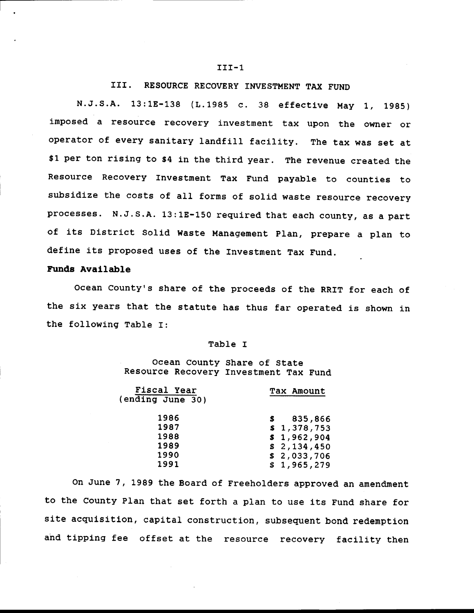#### III. RESOURCE RECOVERY INVESTMENT TAX FUND

N.J.S.A. 13:1E-138 (L.1985 c. 38 effective May 1, 1985) imposed a resource recovery investment tax upon the owner or operator of every sanitary landfill facility. The tax was set at \$1 per ton rising to \$4 in the third year. The revenue created the Resource Recovery Investment Tax Fund payable to counties to subsidize the costs of all forms of solid waste resource recovery processes. N.J.s.A. 13:18-150 requlred that each county, as a part of its District Solid Waste Management Plan, prepare a plan to define its proposed uses of the Investment Tax Fund.

#### Funds avallable

Ocean County's share of the proceeds of the RRIT for each of the six years that the statute has thus far operated is shown in the following Table I:

#### Table I

#### Ocean County Share of State Resource Recovery Investment Tax fund

| Fiscal Year<br>(ending June 30)      | Tax Amount                                                          |
|--------------------------------------|---------------------------------------------------------------------|
| 1986<br>1987<br>1988<br>1989<br>1990 | 835,866<br>\$1,378,753<br>\$1,962,904<br>\$2,134,450<br>\$2,033,706 |
| 1991                                 | \$1,965,279                                                         |
|                                      |                                                                     |

On June 7, 1989 the Board of Freeholders approved an amendnent to the County Plan that set forth a plan to use its Fund share for site acquisition, capital construction, subsequent bond redemption ahd tipplng fee offset at the resource recovery facility then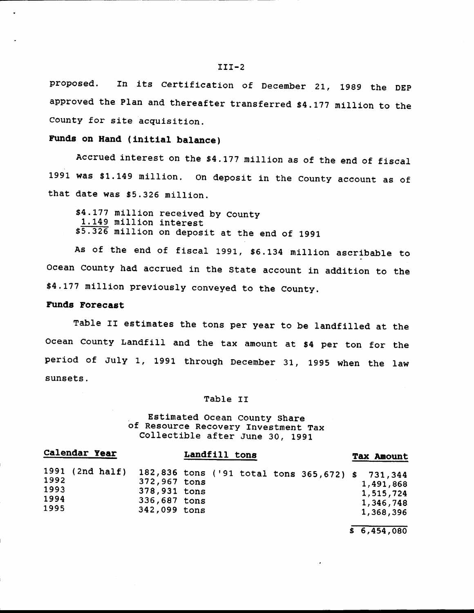proposed. In its Certification of December 21, 1989 the DEP approved the Plan and thereafter transferred \$4.177 million to the County for site acquisition.

## Funds on Hand (initial balance)

Accrued interest on the \$4.177 million as of the end of fiscal 1991 was \$1.149 million. On deposit in the County account as of that date was \$5.326 million.

\$4.177 million received by County<br>1.149 million interest<br>\$5.326 million on deposit at the end of 1991

As of the end of fiscal 1991, \$6.134 million ascribable to Ocean County had accrued in the State account in addition to the \$4.177 million prevlously conveyed to the county.

#### Funde Forecast

Table II estimates the tons per year to be landfilled at the ocean county Landfilt and the tax amount at \$4 per ton for the period of July L, 1991 through December 31, 1995 when the Iaw sunsets.

#### Table Ir

# . Estimated Ocean county share of Resource Recovery Investment Tax Collectlble after June 30, <sup>1991</sup>

| Calendar Year                | Landfill tons                                                                                                                    | <b>Tax Amount</b>                                |
|------------------------------|----------------------------------------------------------------------------------------------------------------------------------|--------------------------------------------------|
| 1992<br>1993<br>1994<br>1995 | 1991 (2nd half) 182,836 tons ('91 total tons 365,672) \$ 731,344<br>372,967 tons<br>378,931 tons<br>336,687 tons<br>342,099 tons | 1,491,868<br>1,515,724<br>1,346,748<br>1,368,396 |

 $$6,454,080$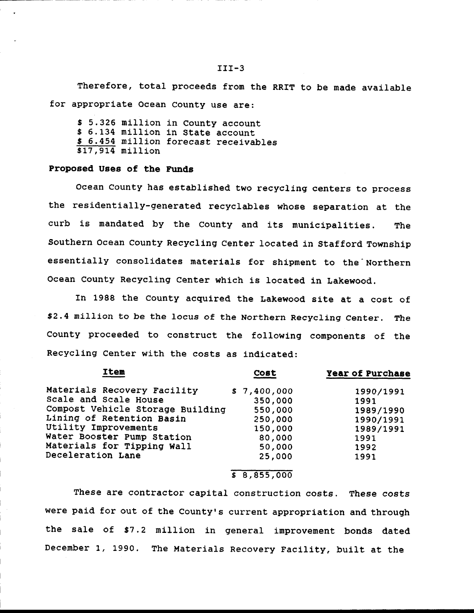Therefore, total proceeds from the RRIT to be made available for approprtate Ocean County use are:

\$ 5.326 million in County account<br>\$ 6.134 million in State account<br>\$ 6.454 million forecast receivables<br>\$17,914 million

#### Proposed Uses of the Funds

Ocean county has established two recycling centers to process the residentially-generated recyclables whose separation at the curb is mandated by the County and its municipalities. The Southern Ocean County Recycling Center located in Stafford Township essentially consolidates materials for shipment to the Northern Ocean County Recycling Center which is located in Lakewood.

In 1988 the county acqulred the Lakewood site at a cost of \$2.4 million to be the locus of the Northern Recycling Center. The County proceeded to construct the following components of the Recycllng center with the costs as indicated:

| <b>Item</b>                      | Cost        | Year of Purchase |
|----------------------------------|-------------|------------------|
| Materials Recovery Facility      | \$7,400,000 | 1990/1991        |
| Scale and Scale House            | 350,000     | 1991             |
| Compost Vehicle Storage Building | 550,000     | 1989/1990        |
| Lining of Retention Basin        | 250,000     | 1990/1991        |
| Utility Improvements             | 150,000     | 1989/1991        |
| Water Booster Pump Station       | 80,000      | 1991             |
| Materials for Tipping Wall       | 50,000      | 1992             |
| Deceleration Lane                | 25,000      | 1991             |

#### $$8,855,000$

These are contractor capital construction costs. These costs were paid for out of the County's current appropriation and through the sale of \$7.2 million in general improvement bonds dated December 1, 1990. The Materials Recovery Facility, built at the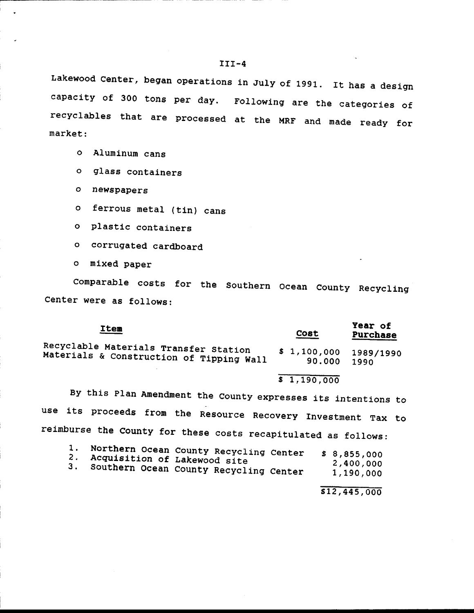Lakewood Center, began operations in July of 1991. It has a design capacity of 300 tons per day. Following are the categories of recyclables that are processed at the MRF and made ready for market:

- o Aluminum cans
- o glass containers
- o newspapers
- o ferrous metal (tin) cans
- o plastlc containers
- o corrugated cardboard
- o mlxed paper

comparable costs for the southern ocean county Recycllng Center were as follows:

| <u>Item</u>                                                                       | Cost                               | Year of<br><b>Purchase</b> |
|-----------------------------------------------------------------------------------|------------------------------------|----------------------------|
| Recyclable Materials Transfer Station<br>Materials & Construction of Tipping Wall | $$1,100,000$ $1989/1990$<br>90.000 | 1990                       |

#### $\overline{\$}$  1, 190,000

By this Plan Amendment the county expresses 1ts lntentions to use its proceeds from the Resource Recovery Investment Tax to reimburse the county for these costs recapitulated as fo110ws:

| 1.<br>2. Acquisition of Lakewood site | Northern Ocean County Recycling Center<br>3. Southern Ocean County Recycling Center | \$8,855,000<br>2,400,000<br>1,190,000 |
|---------------------------------------|-------------------------------------------------------------------------------------|---------------------------------------|
|---------------------------------------|-------------------------------------------------------------------------------------|---------------------------------------|

s12,445,000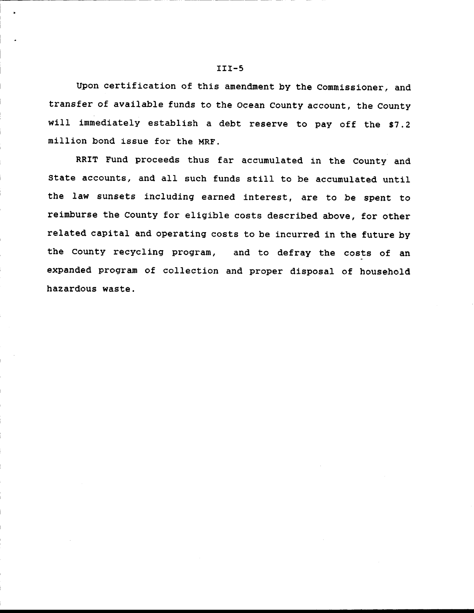Upon certification of this amendment by the Commissioner, and transfer of avallable funds to the ocean County account, the County will immediately establish a debt reserve to pay off the \$7.2 million bond issue for the MRF.

RRIT Fund proceeds thus far accumulated in the County and State accounts, and all such funds sttIl to be accumulated until the law sunsets including earned interest, are to be spent to reimburse the County for eligible costs described above, for other related capital and operating costs to be incurred in the future by the County recycling program, and to defray the costs of an expanded program of collection and proper disposal of household hazardous waste.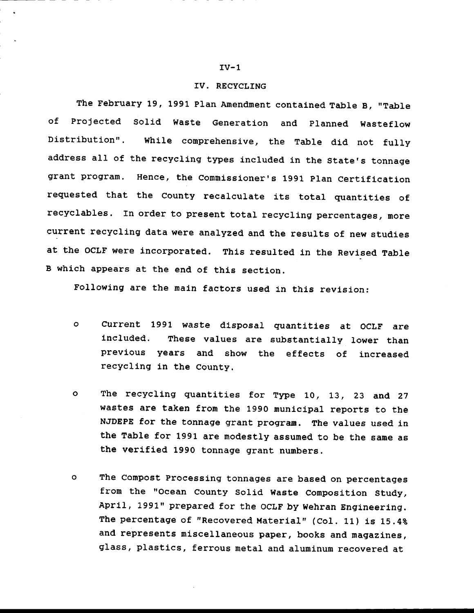## rV. RECYCLTNG

The February 19, 1991 Plan Amendment contained Table B, "Table of Projected Solid Waste Generatlon and planned Wasteflow Distribution". While comprehensive, the Table did not fully address all of the recycling types included in the State's tonnage grant program. Hence, the Commissioner's 1991 Plan Certification requested that the County recalculate its total quantities of recyclables. In order to present total recycling percentages, nore current recycling data were analyzed and the results of new studies at the OCLF were incorporated. This resulted in the Revised Table B which appears at the end of this section.

Following are the main factors used in this revision:

- $\circ$ current 1991 waste dlsposal quantitles at ocLF are included. These values are substantially lower than prevlous years and show the effects of increased recycling in the County.
- o The recycllng guantitles for Type 10, 13, 23 and <sup>27</sup> wastes are taken fron the 1990 munlcipal reports to the NJDEPE for the tonnage grant program. The values used in the Table for 1991 are modestly assumed to be the sane as the verified 1990 tonnage grant numbers.
- o The conpost processlng tonnages are based on percentages from the "Ocean County Solid Waste Composition Study, April, 1991" prepared for the OCLF by Wehran Engineering. The percentage of "Recovered Material" (Col. 11) is 15.4% and represents miscellaneous paper, books and magazines, glass, plastics, ferrous metal and aluminum recovered at

#### $IV-1$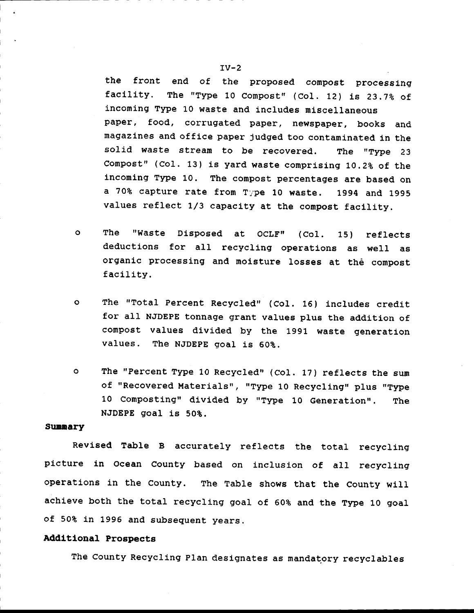the front end of the proposed compost processing facility. The "Type 10 Compost" (Col. 12) is 23.7% of incoming Type 10 waste and includes miscellaneous paper, food, corrugated paper, newspaper, books and magazines and office paper judged too contaminated in the solid waste stream to be recovered. The "Type 23 Compost" (Col. 13) is yard waste comprising 10.2% of the incoming Type 10. The compost percentages are based on a 70% capture rate from Type 10 waste. 1994 and 1995 values reflect 1/3 capacity at the compost facility.

- The  $\bullet$ "Waste Disposed at OCLF"  $(Col.$ 15) reflects deductions for all recycling operations as well as organic processing and moisture losses at the compost facility.
- $\bullet$ The "Total Percent Recycled" (Col. 16) includes credit for all NJDEPE tonnage grant values plus the addition of compost values divided by the 1991 waste generation The NJDEPE goal is 60%. values.
- $\mathbf{o}$ The "Percent Type 10 Recycled" (Col. 17) reflects the sum of "Recovered Materials", "Type 10 Recycling" plus "Type 10 Composting" divided by "Type 10 Generation". **The** NJDEPE goal is 50%.

#### Summary

Revised Table B accurately reflects the total recycling picture in Ocean County based on inclusion of all recycling operations in the County. The Table shows that the County will achieve both the total recycling goal of 60% and the Type 10 goal of 50% in 1996 and subsequent years.

#### Additional Prospects

The County Recycling Plan designates as mandatory recyclables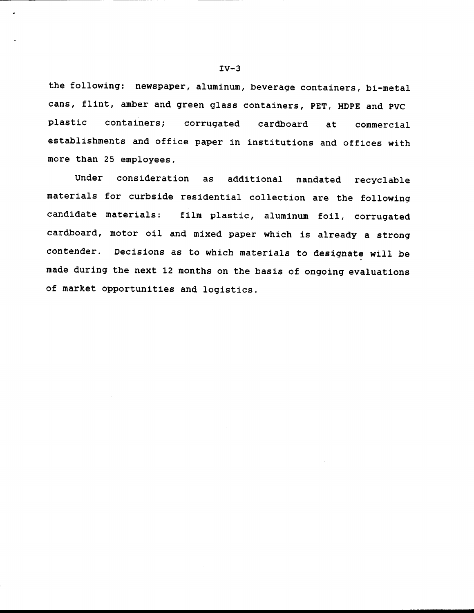the following: newspaper, aluminum, beverage containers, bi-metal cans, fIint, amber and green glass contalners, pET, HDpE and pVC plastic containers; corrugated cardboard at commercial establishments and office paper in institutions and offices with more than 25 employees.

Under consideration as additional mandated recyclable materials for curbside residential collection are the following candidate materials: film plastic, aluminum foil, corrugated cardboard, motor oil and mixed paper which is already a strong contender. Decisions as to which materials to designate will be made during the next 12 months on the basis of ongoing evaluations of market opportunities and logistics.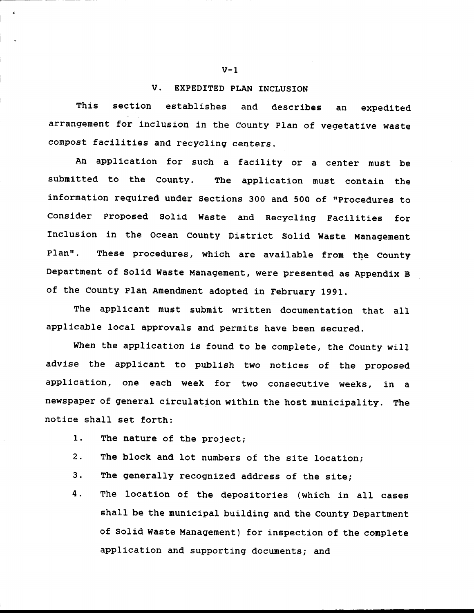#### V. EXPEDITED PLAN INCLUSION

This section establishes and describes an expedited arrangement for inclusion in the County Plan of vegetative waste compost facilities and recycling centers.

An application for such a facility or a center must be submitted to the County. The application must contain the information required under Sections 300 and 500 of "Procedures to Consider Proposed Solid Waste and Recycling Facilities for Inclusion in the Ocean County District Solid Waste Management Plan". These procedures, which are available from the County Department of Solid Waste Management, were presented as Appendix B of the County Plan Amendment adopted in February 1991.

The applicant must submit written documentation that all applicable local approvals and permits have been secured.

When the application is found to be complete, the County will advise the applicant to publish two notices of the proposed application, one each week for two consecutive weeks, in a newspaper of general circulation within the host municipality. The notice shall set forth:

- $1.$ The nature of the project;
- $2.$ The block and lot numbers of the site location;
- З. The generally recognized address of the site;
- 4. The location of the depositories (which in all cases shall be the municipal building and the County Department of Solid Waste Management) for inspection of the complete application and supporting documents; and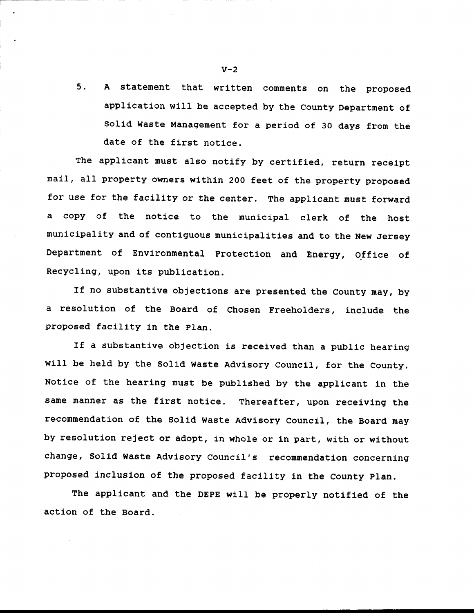5. A statement that written comments on the proposed appllcatlon w1II be accepted by the County Department of Solid Waste Management for a period of 30 days from the date of the first notice.

The applicant must also notify by certified, return receipt mail, all property owners within 200 feet of the property proposed for use for the facility or the center. The applicant must forward a copy of the notice to the municipal clerk of the host municipality and of contiguous municlpalities and to the New Jersey Department of Environmental protection and Energy, office of Recycling, upon its publication.

If no substantive objections are presented the County may, by a resolution of the Board of Chosen Freeholders, include the proposed facility in the p1an.

If a substantive objection is received than a public hearing will be held by the Solid waste Advisory council, for the County. Notice of the hearing must be published by the applicant in the same manner as the first notice. Thereafter, upon receiving the recommendation of the Solld Waste Advisory Council, the Board may by resolution reject or adopt, in whole or in part, with or without change, Solid Waste Advisory Council's recommendation concerning proposed inclusion of the proposed facility in the County Plan.

The applicant and the DEPE will be properly notified of the action of the Board.

 $V-2$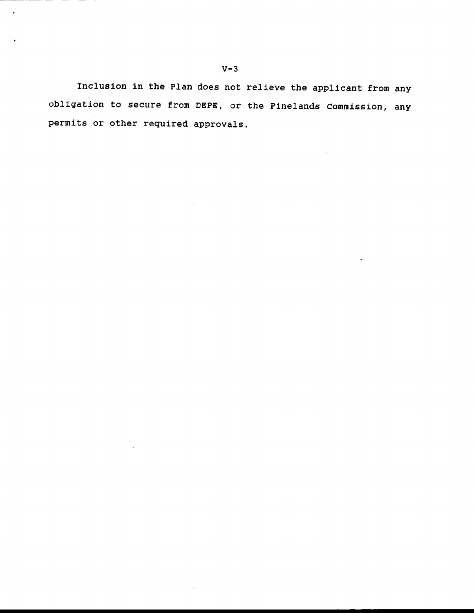Inclusion in the Plan does not relieve the applicant from any obligation to secure from DEPE, or the Pinelands Commission, any permits or other required approvals.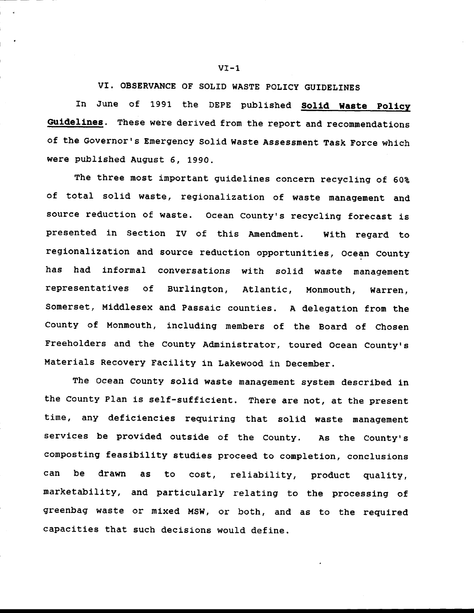VI. OBSERVANCE OF SOLID WASTE POLICY GUIDELINES

In June of 1991 the DEPE published Solid Waste Policy Guidelines. These were derived from the report and recommendations of the Governor's Emergency Solid Waste Assessment Task Force which were publlshed August 6, 1990.

The three most important guidelines concern recycling of 60% of total solid waste, reglonalizatlon of waste nanagenent and source reduction of waste. Ocean County's recycling forecast is presented in Section IV of this Amendment. With regard to regionalization and source reduction opportunities, Ocean County has had informal conversations with solid waste management representatives of Burlington, Atlantic, Monmouth, Warren, Somerset, Middlesex and Passaic counties. A delegation from the county of Monmouth, including menbers of the Board of chosen Freeholders and the County Administrator, toured Ocean County's Materials Recovery Facility in Lakewood in December.

The Ocean County solid waste management system described in the County Plan is self-sufficient. There are not, dt the present time, any deficiencies requiring that solid waste management servlces be provided outside of the county. As the county's composting feasibility studies proceed to completion, conclusions can be drawn as to cost, reliability, product quality, marketability, and particularly relating to the processing of greenbag waste or mixed Msw, or both, and as to the requlred capacities that such decisions would define.

 $VI-1$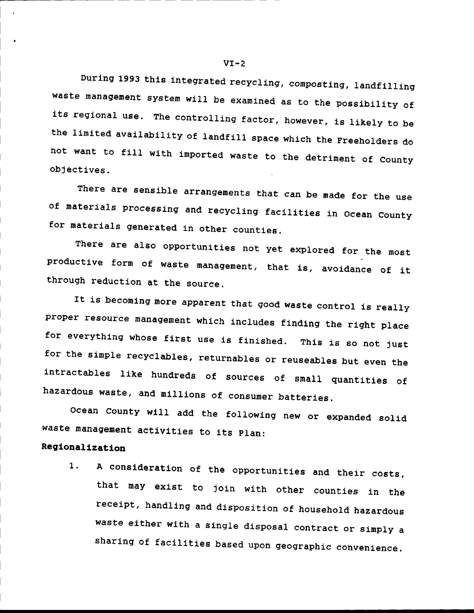During 1993 this integrated recycling, composting, landfilling waste management system will be examined as to the possibility of its regional use. The controlling factor, however, is likely to be the limited availability of landfill space which the Freeholders do not want to fill with imported waste to the detriment of County objectives.

There are sensible arrangements that can be made for the use of materials processing and recycling facilities in Ocean County for materials generated in other counties.

There are also opportunities not yet explored for the most productive form of waste management, that is, avoidance of it through reduction at the source.

It is becoming more apparent that good waste control is really proper resource management which includes finding the right place for everything whose first use is finished. This is so not just for the simple recyclables, returnables or reuseables but even the intractables like hundreds of sources of small quantities of hazardous waste, and millions of consumer batteries.

Ocean County will add the following new or expanded solid waste management activities to its Plan:

#### Regionalization

A consideration of the opportunities and their costs,  $1.$ that may exist to join with other counties in the receipt, handling and disposition of household hazardous waste either with a single disposal contract or simply a sharing of facilities based upon geographic convenience.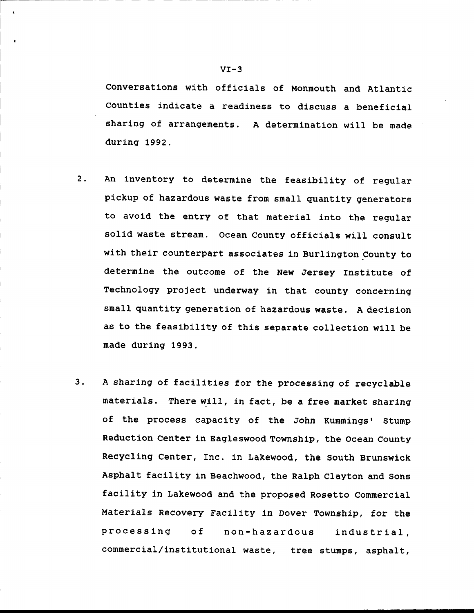Conversations with officials of Monmouth and Atlantic Counties indicate a readiness to discuss a beneficial sharing of arrangements. A determination will be made during 1992.

- 2. An inventory to determine the feasibility of regular pickup of hazardous waste from small quantity generators to avoid the entry of that material into the regular solid waste stream. Ocean County officials will consult with their counterpart associates in Burlington County to determine the outcome of the New Jersey Institute of rechnology project underway in that county concerning small quantity generation of hazardous waste. A decision as to the feasibility of this separate collection will be made during 1993.
- 3. A sharing of facilities for the processing of recyclable materials. There will, in fact, be a free market sharing of the process capaclty of the John Kummings' Stump Reduction Center in Eagleswood Township, the Ocean County Recycling Center, Inc. in Lakewood, the South Brunswick Asphalt facility in Beachwood, the Ralph Clayton and Sons facility in Lakewood and the proposed Rosetto Commercial Materials Recovery Facility in Dover Township, for the processlng of non-hazardous lndustrlal, commercial/institutional waste, tree stumps, asphalt,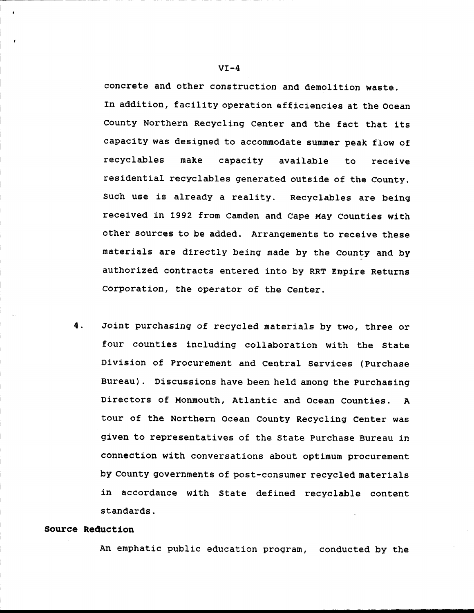concrete and other construction and demolition waste. In addition, facility operation efficiencies at the Ocean County Northern Recycling Center and the fact that its capacity was designed to accommodate summer peak flow of recyclables make capacity avallable to receive residential recyclables generated outside of the County. Such use is already a reality. Recyclables are being received in 1992 from Camden and Cape May Counties with other sources to be added. Arrangements to receive these materials are directly being made by the County and by authorized contracts entered into by RRT Empire Returns Corporation, the operator of the Center.

4, Jolnt purchaslng of recycled naterials by two, three or four counties including collaboration with the State Divlslon of Procurenent and central Services (purchase Bureau). Discussions have been held among the Purchasing Directors of Monmouth, Atlantic and Ocean Counties. A tour of the Northern Ocean County Recycling Center was given to representatives of the state Purchase Bureau in connection wlth conversations about optlmum procurenent by County governments of post-consumer recycled materials in accordance with State defined recyclable content standards.

#### Source Reductlon

i

An emphatic public education progran, conducted by the

 $VI-4$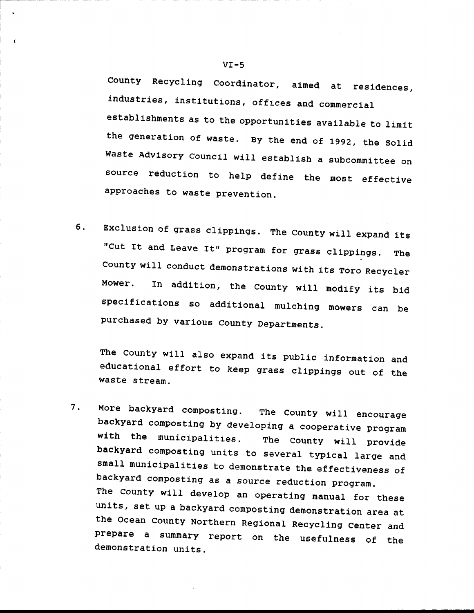County Recycling Coordinator, aimed at residences, industries, institutions, offices and commercial establishments as to the opportunities available to limit the generation of waste. By the end of 1992, the Solid Waste Advisory Council will establish a subcommittee on source reduction to help define the most effective approaches to waste prevention.

6. Exclusion of grass clippings. The County will expand its "Cut It and Leave It" program for grass clippings. The County will conduct demonstrations with its Toro Recycler Mower. fn additlon, the County wiII modify its bld specifications so additional mulching mowers can be purchased by varlous county Departments.

The County will also expand its public information and educational effort to keep grass clippings out of the waste stream.

7. More backyard composting. The County will encourage<br>backyard composting by developing a cooperative program<br>with the municipalities. The County will provide<br>backyard composting units to several typical large and<br>small m units, set up a backyard composting demonstration area at<br>the Ocean County Northern Regional Recycling Center and<br>prepare a summary report on the usefulness of the<br>demonstration units

i

t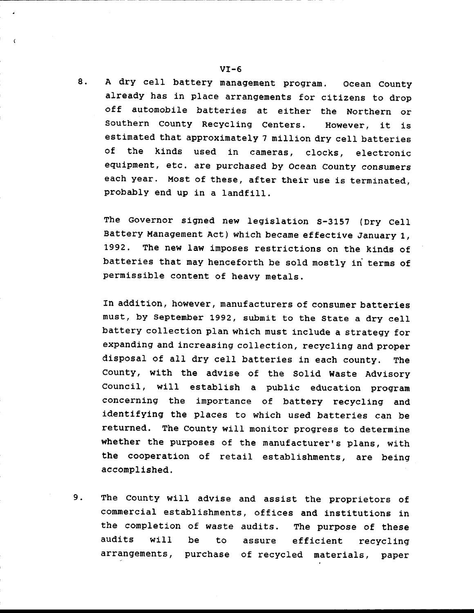8. A dry ceIl battery management program. ocean county already has in place arrangements for citizens to drop off automobile batteries at either the Northern or Southern County Recycling Centers. However, it is estimated that approximately 7 million dry cell batteries of the kinds used in cameras, clocks, electronic eguipment, etc. are purchased by ocean county eonsumers each year. Most of these, after their use is terminated, probably end up in a landfill.

The Governor signed new legislation S-3157 (Dry Cell Battery Management Act) which became effective January 1, 1992. The new law imposes restrictions on the kinds of batteries that may henceforth be sold mostly in terms of permissible content of heavy metals.

In addition, however, manufacturers of consumer batteries must, by September 1992, submit to the State a dry cell battery collection plan which must include a strategy for expanding and increasing collection, recycling and proper disposal of all dry cell batteries in each county. The County, with the advlse of the Solld Waste Advlsory council, will establish a public education program concerning the importance of battery recycling and identifying the places to which used batteries can be returned. The county will monitor proqress to determine whether the purposes of the manufacturer's plans, with the cooperation of retail establishments, are being accompl 1shed.

The County will advise and assist the proprietors of commercial establishments, offices and institutions in the completion of waste audits. The purpose of these audits will be to assure efficient recycling arrangements, purchase of recycled materlals, paper 9.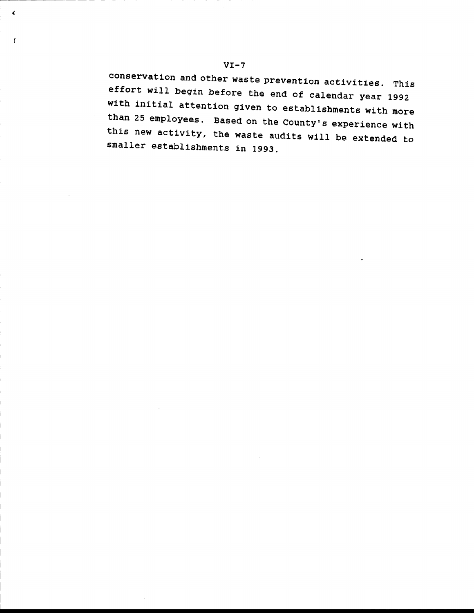conservation and other waste prevention activities. This effort will begin before the end of calendar year 1992 with initial attention given to establishments with more than 25 employees. Based on the County's experience with this new activity, the waste audits will be extended to smaller establishments in 1993.

 $\pmb{\zeta}$ 

 $\mathfrak{c}$